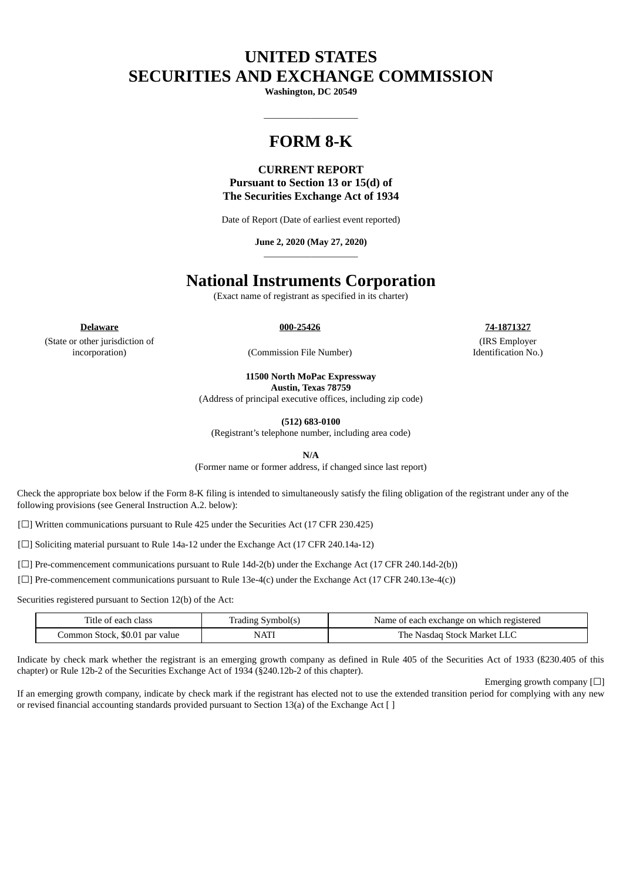# **UNITED STATES SECURITIES AND EXCHANGE COMMISSION**

**Washington, DC 20549**

 $\_$ 

# **FORM 8-K**

# **CURRENT REPORT Pursuant to Section 13 or 15(d) of The Securities Exchange Act of 1934**

Date of Report (Date of earliest event reported)

**June 2, 2020 (May 27, 2020)** \_\_\_\_\_\_\_\_\_\_\_\_\_\_\_\_\_\_\_\_

# **National Instruments Corporation**

(Exact name of registrant as specified in its charter)

**Delaware 000-25426 74-1871327**

(State or other jurisdiction of incorporation) (Commission File Number)

(IRS Employer Identification No.)

**11500 North MoPac Expressway**

**Austin, Texas 78759**

(Address of principal executive offices, including zip code)

**(512) 683-0100**

(Registrant's telephone number, including area code)

**N/A**

(Former name or former address, if changed since last report)

Check the appropriate box below if the Form 8-K filing is intended to simultaneously satisfy the filing obligation of the registrant under any of the following provisions (see General Instruction A.2. below):

[☐] Written communications pursuant to Rule 425 under the Securities Act (17 CFR 230.425)

[□] Soliciting material pursuant to Rule 14a-12 under the Exchange Act (17 CFR 240.14a-12)

[ $\Box$ ] Pre-commencement communications pursuant to Rule 14d-2(b) under the Exchange Act (17 CFR 240.14d-2(b))

[ $\square$ ] Pre-commencement communications pursuant to Rule 13e-4(c) under the Exchange Act (17 CFR 240.13e-4(c))

Securities registered pursuant to Section 12(b) of the Act:

| Title of each class            | Symbol(s)<br>rading | Name of each exchange on which registered |
|--------------------------------|---------------------|-------------------------------------------|
| Common Stock, \$0.01 par value | <b>NATI</b>         | The .<br>Nasdag<br>Stock Market           |

Indicate by check mark whether the registrant is an emerging growth company as defined in Rule 405 of the Securities Act of 1933 (ß230.405 of this chapter) or Rule 12b-2 of the Securities Exchange Act of 1934 (§240.12b-2 of this chapter).

Emerging growth company  $[\Box]$ 

If an emerging growth company, indicate by check mark if the registrant has elected not to use the extended transition period for complying with any new or revised financial accounting standards provided pursuant to Section 13(a) of the Exchange Act [ ]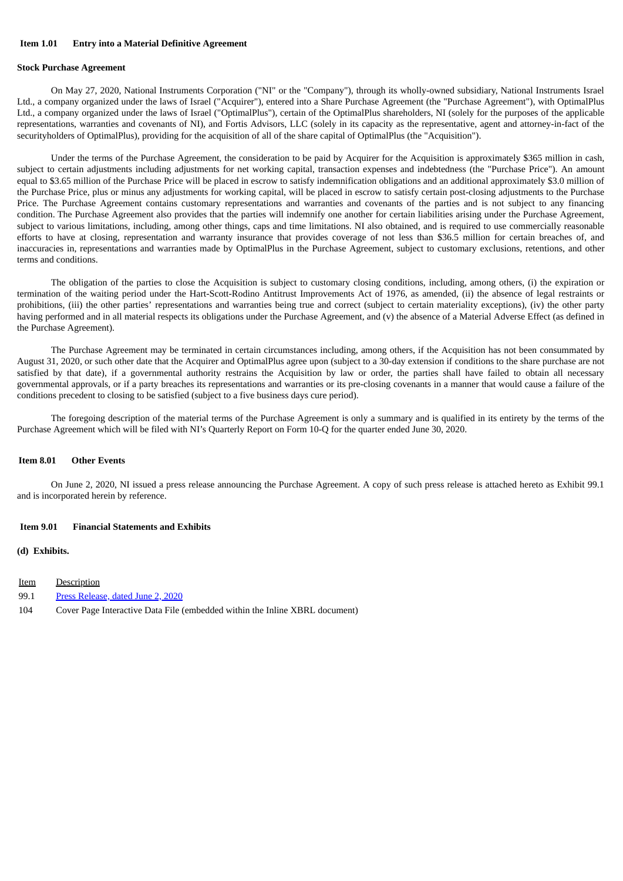#### **Item 1.01 Entry into a Material Definitive Agreement**

#### **Stock Purchase Agreement**

On May 27, 2020, National Instruments Corporation ("NI" or the "Company"), through its wholly-owned subsidiary, National Instruments Israel Ltd., a company organized under the laws of Israel ("Acquirer"), entered into a Share Purchase Agreement (the "Purchase Agreement"), with OptimalPlus Ltd., a company organized under the laws of Israel ("OptimalPlus"), certain of the OptimalPlus shareholders, NI (solely for the purposes of the applicable representations, warranties and covenants of NI), and Fortis Advisors, LLC (solely in its capacity as the representative, agent and attorney-in-fact of the securityholders of OptimalPlus), providing for the acquisition of all of the share capital of OptimalPlus (the "Acquisition").

Under the terms of the Purchase Agreement, the consideration to be paid by Acquirer for the Acquisition is approximately \$365 million in cash, subject to certain adjustments including adjustments for net working capital, transaction expenses and indebtedness (the "Purchase Price"). An amount equal to \$3.65 million of the Purchase Price will be placed in escrow to satisfy indemnification obligations and an additional approximately \$3.0 million of the Purchase Price, plus or minus any adjustments for working capital, will be placed in escrow to satisfy certain post-closing adjustments to the Purchase Price. The Purchase Agreement contains customary representations and warranties and covenants of the parties and is not subject to any financing condition. The Purchase Agreement also provides that the parties will indemnify one another for certain liabilities arising under the Purchase Agreement, subject to various limitations, including, among other things, caps and time limitations. NI also obtained, and is required to use commercially reasonable efforts to have at closing, representation and warranty insurance that provides coverage of not less than \$36.5 million for certain breaches of, and inaccuracies in, representations and warranties made by OptimalPlus in the Purchase Agreement, subject to customary exclusions, retentions, and other terms and conditions.

The obligation of the parties to close the Acquisition is subject to customary closing conditions, including, among others, (i) the expiration or termination of the waiting period under the Hart-Scott-Rodino Antitrust Improvements Act of 1976, as amended, (ii) the absence of legal restraints or prohibitions, (iii) the other parties' representations and warranties being true and correct (subject to certain materiality exceptions), (iv) the other party having performed and in all material respects its obligations under the Purchase Agreement, and (v) the absence of a Material Adverse Effect (as defined in the Purchase Agreement).

The Purchase Agreement may be terminated in certain circumstances including, among others, if the Acquisition has not been consummated by August 31, 2020, or such other date that the Acquirer and OptimalPlus agree upon (subject to a 30-day extension if conditions to the share purchase are not satisfied by that date), if a governmental authority restrains the Acquisition by law or order, the parties shall have failed to obtain all necessary governmental approvals, or if a party breaches its representations and warranties or its pre-closing covenants in a manner that would cause a failure of the conditions precedent to closing to be satisfied (subject to a five business days cure period).

The foregoing description of the material terms of the Purchase Agreement is only a summary and is qualified in its entirety by the terms of the Purchase Agreement which will be filed with NI's Quarterly Report on Form 10-Q for the quarter ended June 30, 2020.

#### **Item 8.01 Other Events**

On June 2, 2020, NI issued a press release announcing the Purchase Agreement. A copy of such press release is attached hereto as Exhibit 99.1 and is incorporated herein by reference.

#### **Item 9.01 Financial Statements and Exhibits**

#### **(d) Exhibits.**

- Item Description
- 99.1 Press [Release,](#page-3-0) dated June 2, 2020
- 104 Cover Page Interactive Data File (embedded within the Inline XBRL document)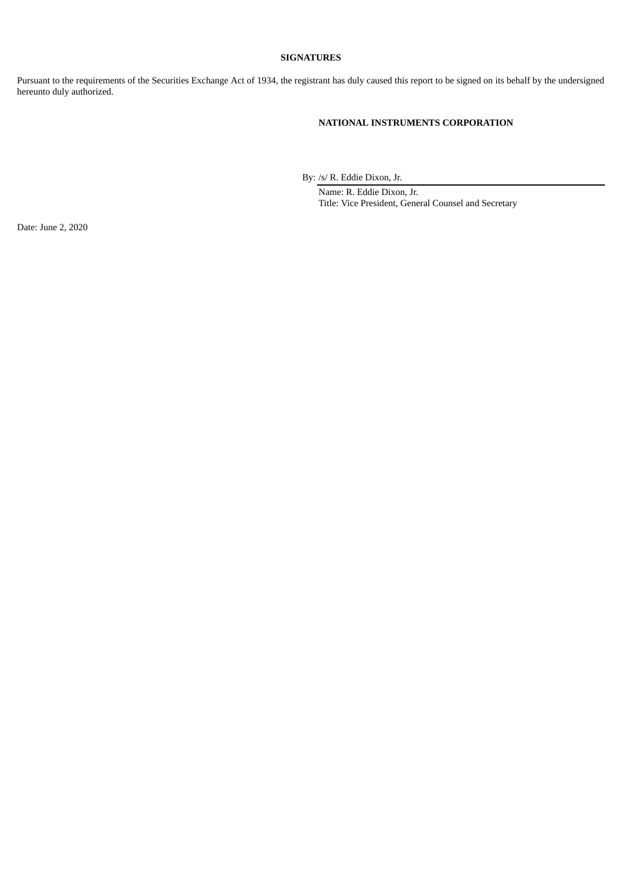### **SIGNATURES**

Pursuant to the requirements of the Securities Exchange Act of 1934, the registrant has duly caused this report to be signed on its behalf by the undersigned hereunto duly authorized.

## **NATIONAL INSTRUMENTS CORPORATION**

By: /s/ R. Eddie Dixon, Jr.

Name: R. Eddie Dixon, Jr. Title: Vice President, General Counsel and Secretary

Date: June 2, 2020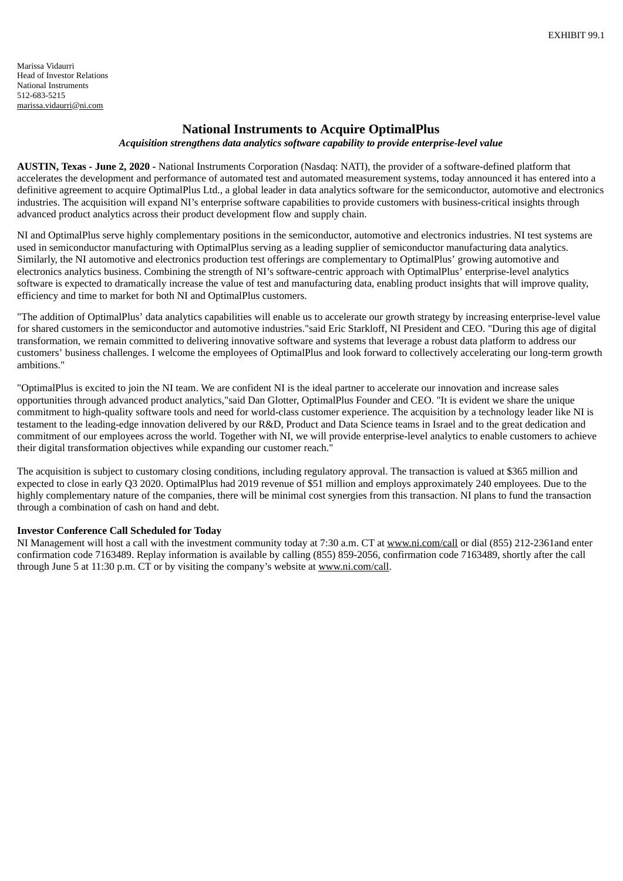# **National Instruments to Acquire OptimalPlus**

*Acquisition strengthens data analytics software capability to provide enterprise-level value*

<span id="page-3-0"></span>**AUSTIN, Texas - June 2, 2020 -** National Instruments Corporation (Nasdaq: NATI), the provider of a software-defined platform that accelerates the development and performance of automated test and automated measurement systems, today announced it has entered into a definitive agreement to acquire OptimalPlus Ltd., a global leader in data analytics software for the semiconductor, automotive and electronics industries. The acquisition will expand NI's enterprise software capabilities to provide customers with business-critical insights through advanced product analytics across their product development flow and supply chain.

NI and OptimalPlus serve highly complementary positions in the semiconductor, automotive and electronics industries. NI test systems are used in semiconductor manufacturing with OptimalPlus serving as a leading supplier of semiconductor manufacturing data analytics. Similarly, the NI automotive and electronics production test offerings are complementary to OptimalPlus' growing automotive and electronics analytics business. Combining the strength of NI's software-centric approach with OptimalPlus' enterprise-level analytics software is expected to dramatically increase the value of test and manufacturing data, enabling product insights that will improve quality, efficiency and time to market for both NI and OptimalPlus customers.

"The addition of OptimalPlus' data analytics capabilities will enable us to accelerate our growth strategy by increasing enterprise-level value for shared customers in the semiconductor and automotive industries."said Eric Starkloff, NI President and CEO. "During this age of digital transformation, we remain committed to delivering innovative software and systems that leverage a robust data platform to address our customers' business challenges. I welcome the employees of OptimalPlus and look forward to collectively accelerating our long-term growth ambitions."

"OptimalPlus is excited to join the NI team. We are confident NI is the ideal partner to accelerate our innovation and increase sales opportunities through advanced product analytics,"said Dan Glotter, OptimalPlus Founder and CEO. "It is evident we share the unique commitment to high-quality software tools and need for world-class customer experience. The acquisition by a technology leader like NI is testament to the leading-edge innovation delivered by our R&D, Product and Data Science teams in Israel and to the great dedication and commitment of our employees across the world. Together with NI, we will provide enterprise-level analytics to enable customers to achieve their digital transformation objectives while expanding our customer reach."

The acquisition is subject to customary closing conditions, including regulatory approval. The transaction is valued at \$365 million and expected to close in early Q3 2020. OptimalPlus had 2019 revenue of \$51 million and employs approximately 240 employees. Due to the highly complementary nature of the companies, there will be minimal cost synergies from this transaction. NI plans to fund the transaction through a combination of cash on hand and debt.

## **Investor Conference Call Scheduled for Today**

NI Management will host a call with the investment community today at 7:30 a.m. CT at www.ni.com/call or dial (855) 212-2361and enter confirmation code 7163489. Replay information is available by calling (855) 859-2056, confirmation code 7163489, shortly after the call through June 5 at 11:30 p.m. CT or by visiting the company's website at www.ni.com/call.